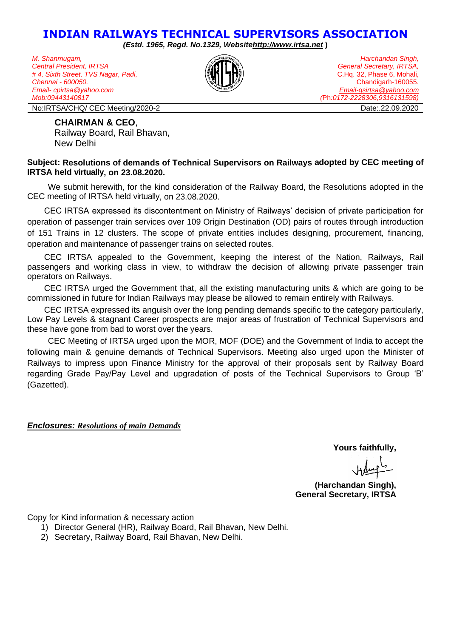# **INDIAN RAILWAYS TECHNICAL SUPERVISORS ASSOCIATION**

*(Estd. 1965, Regd. No.1329, Websit[ehttp://www.irtsa.net](http://www.irtsa.net/)* **)**

*M. Shanmugam, Central President, IRTSA # 4, Sixth Street, TVS Nagar, Padi, Chennai - 600050. Email- cpirtsa@yahoo.com Mob:09443140817*

*Harchandan Singh, General Secretary, IRTSA,* C.Hq. 32, Phase 6, Mohali, Chandigarh-160055. *[Email-gsirtsa@yahoo.com](mailto:Email-gsirtsa@yahoo.com) (*Ph*:0172-2228306,9316131598)*

No:IRTSA/CHQ/ CEC Meeting/2020-2 Date:.22.09.2020

#### **CHAIRMAN & CEO**,

Railway Board, Rail Bhavan, New Delhi

#### **Subject: Resolutions of demands of Technical Supervisors on Railways adopted by CEC meeting of IRTSA held virtually, on 23.08.2020.**

We submit herewith, for the kind consideration of the Railway Board, the Resolutions adopted in the CEC meeting of IRTSA held virtually, on 23.08.2020.

CEC IRTSA expressed its discontentment on Ministry of Railways' decision of private participation for operation of passenger train services over 109 Origin Destination (OD) pairs of routes through introduction of 151 Trains in 12 clusters. The scope of private entities includes designing, procurement, financing, operation and maintenance of passenger trains on selected routes.

CEC IRTSA appealed to the Government, keeping the interest of the Nation, Railways, Rail passengers and working class in view, to withdraw the decision of allowing private passenger train operators on Railways.

CEC IRTSA urged the Government that, all the existing manufacturing units & which are going to be commissioned in future for Indian Railways may please be allowed to remain entirely with Railways.

CEC IRTSA expressed its anguish over the long pending demands specific to the category particularly, Low Pay Levels & stagnant Career prospects are major areas of frustration of Technical Supervisors and these have gone from bad to worst over the years.

CEC Meeting of IRTSA urged upon the MOR, MOF (DOE) and the Government of India to accept the following main & genuine demands of Technical Supervisors. Meeting also urged upon the Minister of Railways to impress upon Finance Ministry for the approval of their proposals sent by Railway Board regarding Grade Pay/Pay Level and upgradation of posts of the Technical Supervisors to Group 'B' (Gazetted).

### *Enclosures: Resolutions of main Demands*

**Yours faithfully,**

**(Harchandan Singh), General Secretary, IRTSA**

Copy for Kind information & necessary action

1) Director General (HR), Railway Board, Rail Bhavan, New Delhi.

2) Secretary, Railway Board, Rail Bhavan, New Delhi.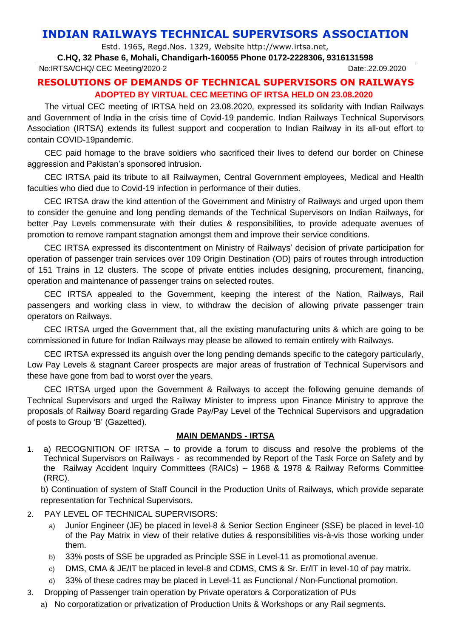# **INDIAN RAILWAYS TECHNICAL SUPERVISORS ASSOCIATION**

Estd. 1965, Regd.Nos. 1329, Website http://www.irtsa.net,

**C.HQ, 32 Phase 6, Mohali, Chandigarh-160055 Phone 0172-2228306, 9316131598**

No:IRTSA/CHQ/ CEC Meeting/2020-2 Date:.22.09.2020

## **RESOLUTIONS OF DEMANDS OF TECHNICAL SUPERVISORS ON RAILWAYS ADOPTED BY VIRTUAL CEC MEETING OF IRTSA HELD ON 23.08.2020**

The virtual CEC meeting of IRTSA held on 23.08.2020, expressed its solidarity with Indian Railways and Government of India in the crisis time of Covid-19 pandemic. Indian Railways Technical Supervisors Association (IRTSA) extends its fullest support and cooperation to Indian Railway in its all-out effort to contain COVID-19pandemic.

CEC paid homage to the brave soldiers who sacrificed their lives to defend our border on Chinese aggression and Pakistan's sponsored intrusion.

CEC IRTSA paid its tribute to all Railwaymen, Central Government employees, Medical and Health faculties who died due to Covid-19 infection in performance of their duties.

CEC IRTSA draw the kind attention of the Government and Ministry of Railways and urged upon them to consider the genuine and long pending demands of the Technical Supervisors on Indian Railways, for better Pay Levels commensurate with their duties & responsibilities, to provide adequate avenues of promotion to remove rampant stagnation amongst them and improve their service conditions.

CEC IRTSA expressed its discontentment on Ministry of Railways' decision of private participation for operation of passenger train services over 109 Origin Destination (OD) pairs of routes through introduction of 151 Trains in 12 clusters. The scope of private entities includes designing, procurement, financing, operation and maintenance of passenger trains on selected routes.

CEC IRTSA appealed to the Government, keeping the interest of the Nation, Railways, Rail passengers and working class in view, to withdraw the decision of allowing private passenger train operators on Railways.

CEC IRTSA urged the Government that, all the existing manufacturing units & which are going to be commissioned in future for Indian Railways may please be allowed to remain entirely with Railways.

CEC IRTSA expressed its anguish over the long pending demands specific to the category particularly, Low Pay Levels & stagnant Career prospects are major areas of frustration of Technical Supervisors and these have gone from bad to worst over the years.

CEC IRTSA urged upon the Government & Railways to accept the following genuine demands of Technical Supervisors and urged the Railway Minister to impress upon Finance Ministry to approve the proposals of Railway Board regarding Grade Pay/Pay Level of the Technical Supervisors and upgradation of posts to Group 'B' (Gazetted).

### **MAIN DEMANDS - IRTSA**

1. a) RECOGNITION OF IRTSA – to provide a forum to discuss and resolve the problems of the Technical Supervisors on Railways - as recommended by Report of the Task Force on Safety and by the Railway Accident Inquiry Committees (RAICs) – 1968 & 1978 & Railway Reforms Committee (RRC).

b) Continuation of system of Staff Council in the Production Units of Railways, which provide separate representation for Technical Supervisors.

- 2. PAY LEVEL OF TECHNICAL SUPERVISORS:
	- a) Junior Engineer (JE) be placed in level-8 & Senior Section Engineer (SSE) be placed in level-10 of the Pay Matrix in view of their relative duties & responsibilities vis-à-vis those working under them.
	- b) 33% posts of SSE be upgraded as Principle SSE in Level-11 as promotional avenue.
	- c) DMS, CMA & JE/IT be placed in level-8 and CDMS, CMS & Sr. Er/IT in level-10 of pay matrix.
	- d) 33% of these cadres may be placed in Level-11 as Functional / Non-Functional promotion.
- 3. Dropping of Passenger train operation by Private operators & Corporatization of PUs
	- a) No corporatization or privatization of Production Units & Workshops or any Rail segments.